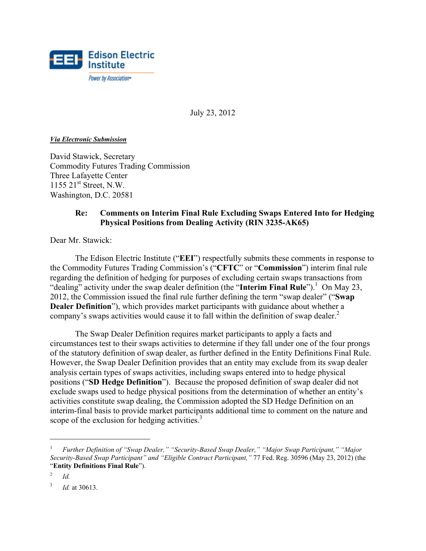

July 23, 2012

#### *Via Electronic Submission*

David Stawick, Secretary Commodity Futures Trading Commission Three Lafayette Center 1155 21<sup>st</sup> Street, N.W. Washington, D.C. 20581

## **Re: Comments on Interim Final Rule Excluding Swaps Entered Into for Hedging Physical Positions from Dealing Activity (RIN 3235-AK65)**

Dear Mr. Stawick:

The Edison Electric Institute ("**EEI**") respectfully submits these comments in response to the Commodity Futures Trading Commission's ("**CFTC**" or "**Commission**") interim final rule regarding the definition of hedging for purposes of excluding certain swaps transactions from "dealing" activity under the swap dealer definition (the "**Interim Final Rule**").<sup>1</sup> On May 23, 2012, the Commission issued the final rule further defining the term "swap dealer" ("**Swap Dealer Definition**"), which provides market participants with guidance about whether a company's swaps activities would cause it to fall within the definition of swap dealer.<sup>2</sup>

The Swap Dealer Definition requires market participants to apply a facts and circumstances test to their swaps activities to determine if they fall under one of the four prongs of the statutory definition of swap dealer, as further defined in the Entity Definitions Final Rule. However, the Swap Dealer Definition provides that an entity may exclude from its swap dealer analysis certain types of swaps activities, including swaps entered into to hedge physical positions ("**SD Hedge Definition**"). Because the proposed definition of swap dealer did not exclude swaps used to hedge physical positions from the determination of whether an entity's activities constitute swap dealing, the Commission adopted the SD Hedge Definition on an interim-final basis to provide market participants additional time to comment on the nature and scope of the exclusion for hedging activities. $3$ 

1

<sup>1</sup> *Further Definition of "Swap Dealer," "Security-Based Swap Dealer," "Major Swap Participant," "Major Security-Based Swap Participant" and "Eligible Contract Participant,"* 77 Fed. Reg. 30596 (May 23, 2012) (the "**Entity Definitions Final Rule**").

<sup>2</sup> *Id.*

<sup>3</sup> *Id.* at 30613.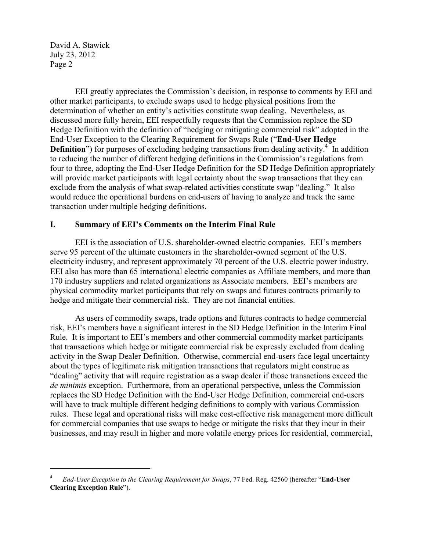$\overline{a}$ 

EEI greatly appreciates the Commission's decision, in response to comments by EEI and other market participants, to exclude swaps used to hedge physical positions from the determination of whether an entity's activities constitute swap dealing. Nevertheless, as discussed more fully herein, EEI respectfully requests that the Commission replace the SD Hedge Definition with the definition of "hedging or mitigating commercial risk" adopted in the End-User Exception to the Clearing Requirement for Swaps Rule ("**End-User Hedge Definition**") for purposes of excluding hedging transactions from dealing activity.<sup>4</sup> In addition to reducing the number of different hedging definitions in the Commission's regulations from four to three, adopting the End-User Hedge Definition for the SD Hedge Definition appropriately will provide market participants with legal certainty about the swap transactions that they can exclude from the analysis of what swap-related activities constitute swap "dealing." It also would reduce the operational burdens on end-users of having to analyze and track the same transaction under multiple hedging definitions.

#### **I. Summary of EEI's Comments on the Interim Final Rule**

EEI is the association of U.S. shareholder-owned electric companies. EEI's members serve 95 percent of the ultimate customers in the shareholder-owned segment of the U.S. electricity industry, and represent approximately 70 percent of the U.S. electric power industry. EEI also has more than 65 international electric companies as Affiliate members, and more than 170 industry suppliers and related organizations as Associate members. EEI's members are physical commodity market participants that rely on swaps and futures contracts primarily to hedge and mitigate their commercial risk. They are not financial entities.

As users of commodity swaps, trade options and futures contracts to hedge commercial risk, EEI's members have a significant interest in the SD Hedge Definition in the Interim Final Rule. It is important to EEI's members and other commercial commodity market participants that transactions which hedge or mitigate commercial risk be expressly excluded from dealing activity in the Swap Dealer Definition. Otherwise, commercial end-users face legal uncertainty about the types of legitimate risk mitigation transactions that regulators might construe as "dealing" activity that will require registration as a swap dealer if those transactions exceed the *de minimis* exception. Furthermore, from an operational perspective, unless the Commission replaces the SD Hedge Definition with the End-User Hedge Definition, commercial end-users will have to track multiple different hedging definitions to comply with various Commission rules. These legal and operational risks will make cost-effective risk management more difficult for commercial companies that use swaps to hedge or mitigate the risks that they incur in their businesses, and may result in higher and more volatile energy prices for residential, commercial,

<sup>4</sup> *End-User Exception to the Clearing Requirement for Swaps*, 77 Fed. Reg. 42560 (hereafter "**End-User Clearing Exception Rule**").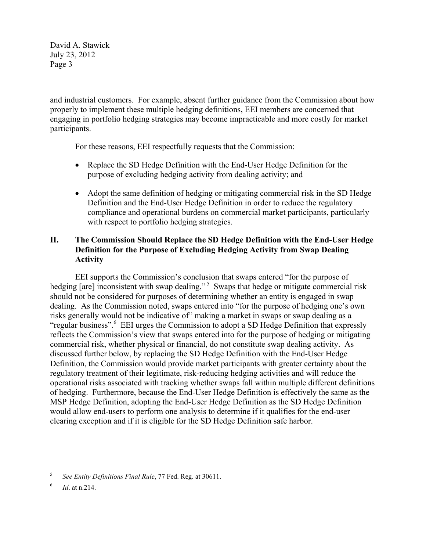and industrial customers. For example, absent further guidance from the Commission about how properly to implement these multiple hedging definitions, EEI members are concerned that engaging in portfolio hedging strategies may become impracticable and more costly for market participants.

For these reasons, EEI respectfully requests that the Commission:

- Replace the SD Hedge Definition with the End-User Hedge Definition for the purpose of excluding hedging activity from dealing activity; and
- Adopt the same definition of hedging or mitigating commercial risk in the SD Hedge Definition and the End-User Hedge Definition in order to reduce the regulatory compliance and operational burdens on commercial market participants, particularly with respect to portfolio hedging strategies.

# **II. The Commission Should Replace the SD Hedge Definition with the End-User Hedge Definition for the Purpose of Excluding Hedging Activity from Swap Dealing Activity**

EEI supports the Commission's conclusion that swaps entered "for the purpose of hedging [are] inconsistent with swap dealing."<sup>5</sup> Swaps that hedge or mitigate commercial risk should not be considered for purposes of determining whether an entity is engaged in swap dealing. As the Commission noted, swaps entered into "for the purpose of hedging one's own risks generally would not be indicative of" making a market in swaps or swap dealing as a "regular business".<sup>6</sup> EEI urges the Commission to adopt a SD Hedge Definition that expressly reflects the Commission's view that swaps entered into for the purpose of hedging or mitigating commercial risk, whether physical or financial, do not constitute swap dealing activity. As discussed further below, by replacing the SD Hedge Definition with the End-User Hedge Definition, the Commission would provide market participants with greater certainty about the regulatory treatment of their legitimate, risk-reducing hedging activities and will reduce the operational risks associated with tracking whether swaps fall within multiple different definitions of hedging. Furthermore, because the End-User Hedge Definition is effectively the same as the MSP Hedge Definition, adopting the End-User Hedge Definition as the SD Hedge Definition would allow end-users to perform one analysis to determine if it qualifies for the end-user clearing exception and if it is eligible for the SD Hedge Definition safe harbor.

1

<sup>5</sup> *See Entity Definitions Final Rule*, 77 Fed. Reg. at 30611.

<sup>6</sup> *Id*. at n.214.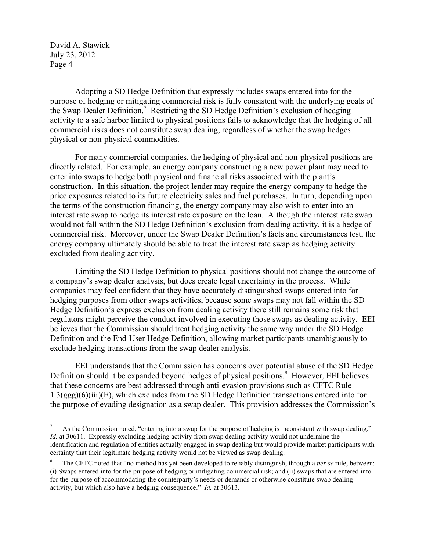$\overline{a}$ 

Adopting a SD Hedge Definition that expressly includes swaps entered into for the purpose of hedging or mitigating commercial risk is fully consistent with the underlying goals of the Swap Dealer Definition.<sup>7</sup> Restricting the SD Hedge Definition's exclusion of hedging activity to a safe harbor limited to physical positions fails to acknowledge that the hedging of all commercial risks does not constitute swap dealing, regardless of whether the swap hedges physical or non-physical commodities.

For many commercial companies, the hedging of physical and non-physical positions are directly related. For example, an energy company constructing a new power plant may need to enter into swaps to hedge both physical and financial risks associated with the plant's construction. In this situation, the project lender may require the energy company to hedge the price exposures related to its future electricity sales and fuel purchases. In turn, depending upon the terms of the construction financing, the energy company may also wish to enter into an interest rate swap to hedge its interest rate exposure on the loan. Although the interest rate swap would not fall within the SD Hedge Definition's exclusion from dealing activity, it is a hedge of commercial risk. Moreover, under the Swap Dealer Definition's facts and circumstances test, the energy company ultimately should be able to treat the interest rate swap as hedging activity excluded from dealing activity.

Limiting the SD Hedge Definition to physical positions should not change the outcome of a company's swap dealer analysis, but does create legal uncertainty in the process. While companies may feel confident that they have accurately distinguished swaps entered into for hedging purposes from other swaps activities, because some swaps may not fall within the SD Hedge Definition's express exclusion from dealing activity there still remains some risk that regulators might perceive the conduct involved in executing those swaps as dealing activity. EEI believes that the Commission should treat hedging activity the same way under the SD Hedge Definition and the End-User Hedge Definition, allowing market participants unambiguously to exclude hedging transactions from the swap dealer analysis.

EEI understands that the Commission has concerns over potential abuse of the SD Hedge Definition should it be expanded beyond hedges of physical positions.<sup>8</sup> However, EEI believes that these concerns are best addressed through anti-evasion provisions such as CFTC Rule 1.3(ggg)(6)(iii)(E), which excludes from the SD Hedge Definition transactions entered into for the purpose of evading designation as a swap dealer. This provision addresses the Commission's

<sup>7</sup> As the Commission noted, "entering into a swap for the purpose of hedging is inconsistent with swap dealing." *Id.* at 30611. Expressly excluding hedging activity from swap dealing activity would not undermine the identification and regulation of entities actually engaged in swap dealing but would provide market participants with certainty that their legitimate hedging activity would not be viewed as swap dealing.

<sup>8</sup> The CFTC noted that "no method has yet been developed to reliably distinguish, through a *per se* rule, between: (i) Swaps entered into for the purpose of hedging or mitigating commercial risk; and (ii) swaps that are entered into for the purpose of accommodating the counterparty's needs or demands or otherwise constitute swap dealing activity, but which also have a hedging consequence." *Id.* at 30613.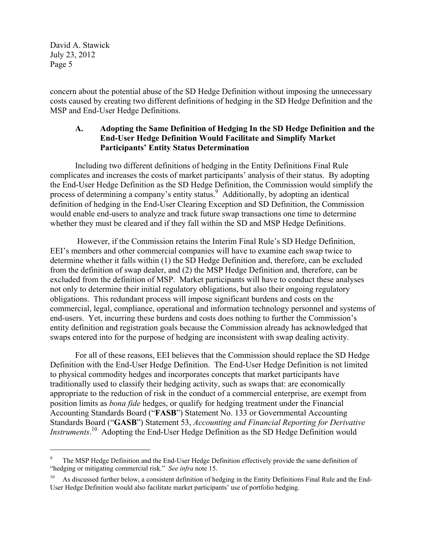$\overline{a}$ 

concern about the potential abuse of the SD Hedge Definition without imposing the unnecessary costs caused by creating two different definitions of hedging in the SD Hedge Definition and the MSP and End-User Hedge Definitions.

## **A. Adopting the Same Definition of Hedging In the SD Hedge Definition and the End-User Hedge Definition Would Facilitate and Simplify Market Participants' Entity Status Determination**

Including two different definitions of hedging in the Entity Definitions Final Rule complicates and increases the costs of market participants' analysis of their status. By adopting the End-User Hedge Definition as the SD Hedge Definition, the Commission would simplify the process of determining a company's entity status.<sup>9</sup> Additionally, by adopting an identical definition of hedging in the End-User Clearing Exception and SD Definition, the Commission would enable end-users to analyze and track future swap transactions one time to determine whether they must be cleared and if they fall within the SD and MSP Hedge Definitions.

 However, if the Commission retains the Interim Final Rule's SD Hedge Definition, EEI's members and other commercial companies will have to examine each swap twice to determine whether it falls within (1) the SD Hedge Definition and, therefore, can be excluded from the definition of swap dealer, and (2) the MSP Hedge Definition and, therefore, can be excluded from the definition of MSP. Market participants will have to conduct these analyses not only to determine their initial regulatory obligations, but also their ongoing regulatory obligations. This redundant process will impose significant burdens and costs on the commercial, legal, compliance, operational and information technology personnel and systems of end-users. Yet, incurring these burdens and costs does nothing to further the Commission's entity definition and registration goals because the Commission already has acknowledged that swaps entered into for the purpose of hedging are inconsistent with swap dealing activity.

For all of these reasons, EEI believes that the Commission should replace the SD Hedge Definition with the End-User Hedge Definition. The End-User Hedge Definition is not limited to physical commodity hedges and incorporates concepts that market participants have traditionally used to classify their hedging activity, such as swaps that: are economically appropriate to the reduction of risk in the conduct of a commercial enterprise, are exempt from position limits as *bona fide* hedges, or qualify for hedging treatment under the Financial Accounting Standards Board ("**FASB**") Statement No. 133 or Governmental Accounting Standards Board ("**GASB**") Statement 53, *Accounting and Financial Reporting for Derivative Instruments*. 10 Adopting the End-User Hedge Definition as the SD Hedge Definition would

<sup>9</sup> The MSP Hedge Definition and the End-User Hedge Definition effectively provide the same definition of "hedging or mitigating commercial risk." *See infra* note 15.

<sup>10</sup> As discussed further below, a consistent definition of hedging in the Entity Definitions Final Rule and the End-User Hedge Definition would also facilitate market participants' use of portfolio hedging.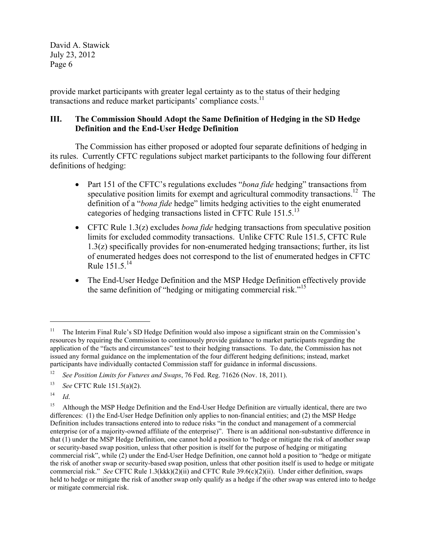provide market participants with greater legal certainty as to the status of their hedging transactions and reduce market participants' compliance costs.<sup>11</sup>

# **III. The Commission Should Adopt the Same Definition of Hedging in the SD Hedge Definition and the End-User Hedge Definition**

The Commission has either proposed or adopted four separate definitions of hedging in its rules. Currently CFTC regulations subject market participants to the following four different definitions of hedging:

- Part 151 of the CFTC's regulations excludes "*bona fide* hedging" transactions from speculative position limits for exempt and agricultural commodity transactions.<sup>12</sup> The definition of a "*bona fide* hedge" limits hedging activities to the eight enumerated categories of hedging transactions listed in CFTC Rule  $151.5$ <sup>13</sup>
- CFTC Rule 1.3(z) excludes *bona fide* hedging transactions from speculative position limits for excluded commodity transactions. Unlike CFTC Rule 151.5, CFTC Rule 1.3(z) specifically provides for non-enumerated hedging transactions; further, its list of enumerated hedges does not correspond to the list of enumerated hedges in CFTC Rule 151.5.<sup>14</sup>
- The End-User Hedge Definition and the MSP Hedge Definition effectively provide the same definition of "hedging or mitigating commercial risk."<sup>15</sup>

 $\overline{a}$ 

<sup>&</sup>lt;sup>11</sup> The Interim Final Rule's SD Hedge Definition would also impose a significant strain on the Commission's resources by requiring the Commission to continuously provide guidance to market participants regarding the application of the "facts and circumstances" test to their hedging transactions. To date, the Commission has not issued any formal guidance on the implementation of the four different hedging definitions; instead, market participants have individually contacted Commission staff for guidance in informal discussions.

<sup>12</sup> *See Position Limits for Futures and Swaps*, 76 Fed. Reg. 71626 (Nov. 18, 2011).

<sup>13</sup> *See* CFTC Rule 151.5(a)(2).

 $14$  *Id.* 

<sup>&</sup>lt;sup>15</sup> Although the MSP Hedge Definition and the End-User Hedge Definition are virtually identical, there are two differences: (1) the End-User Hedge Definition only applies to non-financial entities; and (2) the MSP Hedge Definition includes transactions entered into to reduce risks "in the conduct and management of a commercial enterprise (or of a majority-owned affiliate of the enterprise)". There is an additional non-substantive difference in that (1) under the MSP Hedge Definition, one cannot hold a position to "hedge or mitigate the risk of another swap or security-based swap position, unless that other position is itself for the purpose of hedging or mitigating commercial risk", while (2) under the End-User Hedge Definition, one cannot hold a position to "hedge or mitigate the risk of another swap or security-based swap position, unless that other position itself is used to hedge or mitigate commercial risk." *See* CFTC Rule 1.3(kkk)(2)(ii) and CFTC Rule 39.6(c)(2)(ii). Under either definition, swaps held to hedge or mitigate the risk of another swap only qualify as a hedge if the other swap was entered into to hedge or mitigate commercial risk.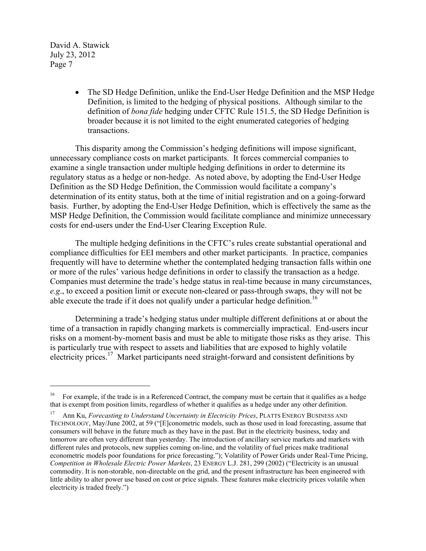$\overline{a}$ 

 The SD Hedge Definition, unlike the End-User Hedge Definition and the MSP Hedge Definition, is limited to the hedging of physical positions. Although similar to the definition of *bona fide* hedging under CFTC Rule 151.5, the SD Hedge Definition is broader because it is not limited to the eight enumerated categories of hedging transactions.

This disparity among the Commission's hedging definitions will impose significant, unnecessary compliance costs on market participants. It forces commercial companies to examine a single transaction under multiple hedging definitions in order to determine its regulatory status as a hedge or non-hedge. As noted above, by adopting the End-User Hedge Definition as the SD Hedge Definition, the Commission would facilitate a company's determination of its entity status, both at the time of initial registration and on a going-forward basis. Further, by adopting the End-User Hedge Definition, which is effectively the same as the MSP Hedge Definition, the Commission would facilitate compliance and minimize unnecessary costs for end-users under the End-User Clearing Exception Rule.

The multiple hedging definitions in the CFTC's rules create substantial operational and compliance difficulties for EEI members and other market participants. In practice, companies frequently will have to determine whether the contemplated hedging transaction falls within one or more of the rules' various hedge definitions in order to classify the transaction as a hedge. Companies must determine the trade's hedge status in real-time because in many circumstances, *e.g*., to exceed a position limit or execute non-cleared or pass-through swaps, they will not be able execute the trade if it does not qualify under a particular hedge definition.<sup>16</sup>

Determining a trade's hedging status under multiple different definitions at or about the time of a transaction in rapidly changing markets is commercially impractical. End-users incur risks on a moment-by-moment basis and must be able to mitigate those risks as they arise. This is particularly true with respect to assets and liabilities that are exposed to highly volatile electricity prices.<sup>17</sup> Market participants need straight-forward and consistent definitions by

<sup>&</sup>lt;sup>16</sup> For example, if the trade is in a Referenced Contract, the company must be certain that it qualifies as a hedge that is exempt from position limits, regardless of whether it qualifies as a hedge under any other definition.

<sup>17</sup> Ann Ku, *Forecasting to Understand Uncertainty in Electricity Prices*, PLATTS ENERGY BUSINESS AND TECHNOLOGY, May/June 2002, at 59 ("[E]conometric models, such as those used in load forecasting, assume that consumers will behave in the future much as they have in the past. But in the electricity business, today and tomorrow are often very different than yesterday. The introduction of ancillary service markets and markets with different rules and protocols, new supplies coming on-line, and the volatility of fuel prices make traditional econometric models poor foundations for price forecasting."); Volatility of Power Grids under Real-Time Pricing, *Competition in Wholesale Electric Power Markets*, 23 ENERGY L.J. 281, 299 (2002) ("Electricity is an unusual commodity. It is non-storable, non-directable on the grid, and the present infrastructure has been engineered with little ability to alter power use based on cost or price signals. These features make electricity prices volatile when electricity is traded freely.")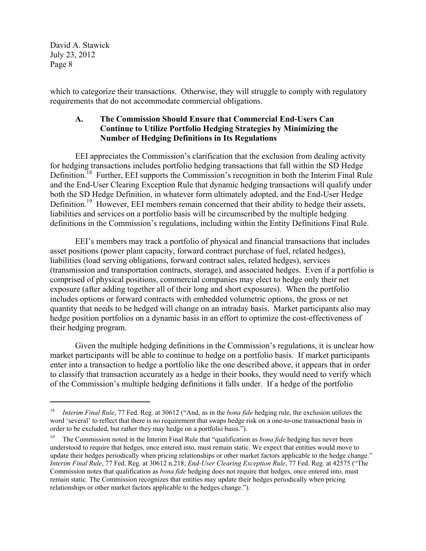$\overline{a}$ 

which to categorize their transactions. Otherwise, they will struggle to comply with regulatory requirements that do not accommodate commercial obligations.

## **A. The Commission Should Ensure that Commercial End-Users Can Continue to Utilize Portfolio Hedging Strategies by Minimizing the Number of Hedging Definitions in Its Regulations**

EEI appreciates the Commission's clarification that the exclusion from dealing activity for hedging transactions includes portfolio hedging transactions that fall within the SD Hedge Definition.<sup>18</sup> Further, EEI supports the Commission's recognition in both the Interim Final Rule and the End-User Clearing Exception Rule that dynamic hedging transactions will qualify under both the SD Hedge Definition, in whatever form ultimately adopted, and the End-User Hedge Definition.<sup>19</sup> However, EEI members remain concerned that their ability to hedge their assets, liabilities and services on a portfolio basis will be circumscribed by the multiple hedging definitions in the Commission's regulations, including within the Entity Definitions Final Rule.

EEI's members may track a portfolio of physical and financial transactions that includes asset positions (power plant capacity, forward contract purchase of fuel, related hedges), liabilities (load serving obligations, forward contract sales, related hedges), services (transmission and transportation contracts, storage), and associated hedges. Even if a portfolio is comprised of physical positions, commercial companies may elect to hedge only their net exposure (after adding together all of their long and short exposures). When the portfolio includes options or forward contracts with embedded volumetric options, the gross or net quantity that needs to be hedged will change on an intraday basis. Market participants also may hedge position portfolios on a dynamic basis in an effort to optimize the cost-effectiveness of their hedging program.

Given the multiple hedging definitions in the Commission's regulations, it is unclear how market participants will be able to continue to hedge on a portfolio basis. If market participants enter into a transaction to hedge a portfolio like the one described above, it appears that in order to classify that transaction accurately as a hedge in their books, they would need to verify which of the Commission's multiple hedging definitions it falls under. If a hedge of the portfolio

<sup>18</sup> *Interim Final Rule*, 77 Fed. Reg. at 30612 ("And, as in the *bona fide* hedging rule, the exclusion utilizes the word 'several' to reflect that there is no requirement that swaps hedge risk on a one-to-one transactional basis in order to be excluded, but rather they may hedge on a portfolio basis.").

<sup>19</sup> The Commission noted in the Interim Final Rule that "qualification as *bona fide* hedging has never been understood to require that hedges, once entered into, must remain static. We expect that entities would move to update their hedges periodically when pricing relationships or other market factors applicable to the hedge change." *Interim Final Rule*, 77 Fed. Reg. at 30612 n.218; *End-User Clearing Exception Rule*, 77 Fed. Reg. at 42575 ("The Commission notes that qualification as *bona fide* hedging does not require that hedges, once entered into, must remain static. The Commission recognizes that entities may update their hedges periodically when pricing relationships or other market factors applicable to the hedges change.").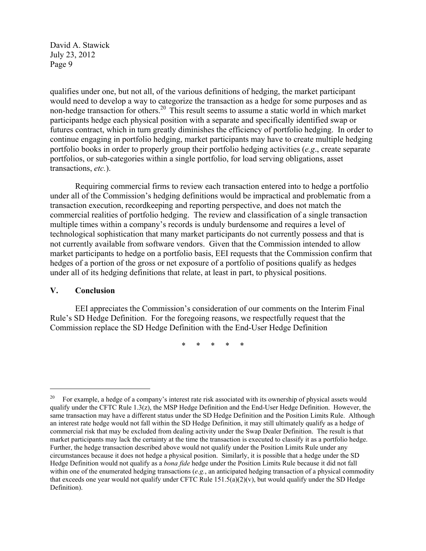qualifies under one, but not all, of the various definitions of hedging, the market participant would need to develop a way to categorize the transaction as a hedge for some purposes and as non-hedge transaction for others.20 This result seems to assume a static world in which market participants hedge each physical position with a separate and specifically identified swap or futures contract, which in turn greatly diminishes the efficiency of portfolio hedging. In order to continue engaging in portfolio hedging, market participants may have to create multiple hedging portfolio books in order to properly group their portfolio hedging activities (*e.g*., create separate portfolios, or sub-categories within a single portfolio, for load serving obligations, asset transactions, *etc.*).

Requiring commercial firms to review each transaction entered into to hedge a portfolio under all of the Commission's hedging definitions would be impractical and problematic from a transaction execution, recordkeeping and reporting perspective, and does not match the commercial realities of portfolio hedging. The review and classification of a single transaction multiple times within a company's records is unduly burdensome and requires a level of technological sophistication that many market participants do not currently possess and that is not currently available from software vendors. Given that the Commission intended to allow market participants to hedge on a portfolio basis, EEI requests that the Commission confirm that hedges of a portion of the gross or net exposure of a portfolio of positions qualify as hedges under all of its hedging definitions that relate, at least in part, to physical positions.

#### **V. Conclusion**

1

EEI appreciates the Commission's consideration of our comments on the Interim Final Rule's SD Hedge Definition. For the foregoing reasons, we respectfully request that the Commission replace the SD Hedge Definition with the End-User Hedge Definition

\* \* \* \* \*

<sup>&</sup>lt;sup>20</sup> For example, a hedge of a company's interest rate risk associated with its ownership of physical assets would qualify under the CFTC Rule 1.3(z), the MSP Hedge Definition and the End-User Hedge Definition. However, the same transaction may have a different status under the SD Hedge Definition and the Position Limits Rule. Although an interest rate hedge would not fall within the SD Hedge Definition, it may still ultimately qualify as a hedge of commercial risk that may be excluded from dealing activity under the Swap Dealer Definition. The result is that market participants may lack the certainty at the time the transaction is executed to classify it as a portfolio hedge. Further, the hedge transaction described above would not qualify under the Position Limits Rule under any circumstances because it does not hedge a physical position. Similarly, it is possible that a hedge under the SD Hedge Definition would not qualify as a *bona fide* hedge under the Position Limits Rule because it did not fall within one of the enumerated hedging transactions (*e.g.*, an anticipated hedging transaction of a physical commodity that exceeds one year would not qualify under CFTC Rule  $151.5(a)(2)(v)$ , but would qualify under the SD Hedge Definition).